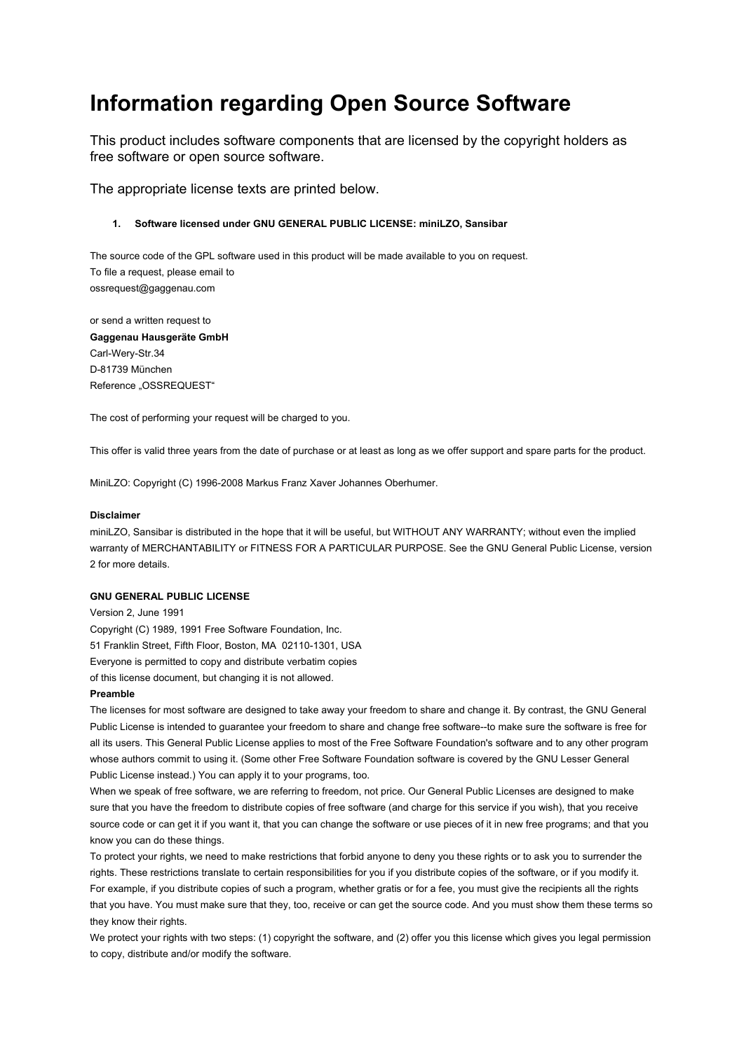# **Information regarding Open Source Software**

This product includes software components that are licensed by the copyright holders as free software or open source software.

The appropriate license texts are printed below.

## **1. Software licensed under GNU GENERAL PUBLIC LICENSE: miniLZO, Sansibar**

The source code of the GPL software used in this product will be made available to you on request. To file a request, please email to ossrequest@gaggenau.com

or send a written request to **Gaggenau Hausgeräte GmbH** Carl-Wery-Str.34 D-81739 München Reference "OSSREQUEST"

The cost of performing your request will be charged to you.

This offer is valid three years from the date of purchase or at least as long as we offer support and spare parts for the product.

MiniLZO: Copyright (C) 1996-2008 Markus Franz Xaver Johannes Oberhumer.

### **Disclaimer**

miniLZO, Sansibar is distributed in the hope that it will be useful, but WITHOUT ANY WARRANTY; without even the implied warranty of MERCHANTABILITY or FITNESS FOR A PARTICULAR PURPOSE. See the GNU General Public License, version 2 for more details.

## **GNU GENERAL PUBLIC LICENSE**

Version 2, June 1991 Copyright (C) 1989, 1991 Free Software Foundation, Inc. 51 Franklin Street, Fifth Floor, Boston, MA 02110-1301, USA Everyone is permitted to copy and distribute verbatim copies of this license document, but changing it is not allowed.

#### **Preamble**

The licenses for most software are designed to take away your freedom to share and change it. By contrast, the GNU General Public License is intended to guarantee your freedom to share and change free software--to make sure the software is free for all its users. This General Public License applies to most of the Free Software Foundation's software and to any other program whose authors commit to using it. (Some other Free Software Foundation software is covered by the GNU Lesser General Public License instead.) You can apply it to your programs, too.

When we speak of free software, we are referring to freedom, not price. Our General Public Licenses are designed to make sure that you have the freedom to distribute copies of free software (and charge for this service if you wish), that you receive source code or can get it if you want it, that you can change the software or use pieces of it in new free programs; and that you know you can do these things.

To protect your rights, we need to make restrictions that forbid anyone to deny you these rights or to ask you to surrender the rights. These restrictions translate to certain responsibilities for you if you distribute copies of the software, or if you modify it. For example, if you distribute copies of such a program, whether gratis or for a fee, you must give the recipients all the rights that you have. You must make sure that they, too, receive or can get the source code. And you must show them these terms so they know their rights.

We protect your rights with two steps: (1) copyright the software, and (2) offer you this license which gives you legal permission to copy, distribute and/or modify the software.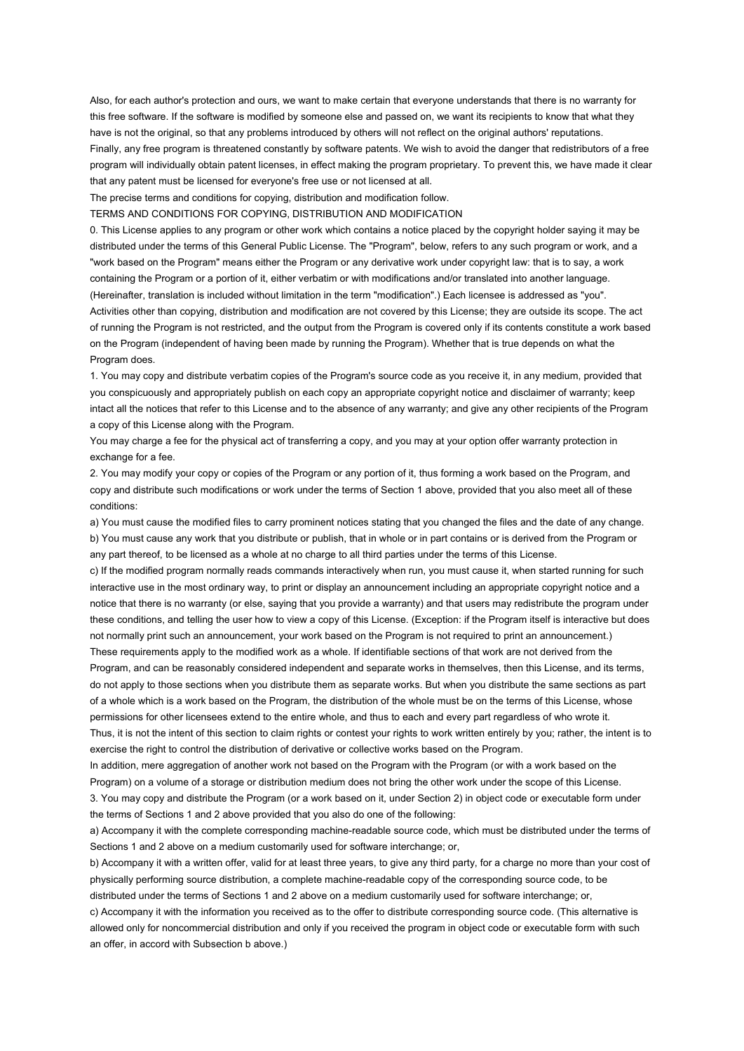Also, for each author's protection and ours, we want to make certain that everyone understands that there is no warranty for this free software. If the software is modified by someone else and passed on, we want its recipients to know that what they have is not the original, so that any problems introduced by others will not reflect on the original authors' reputations. Finally, any free program is threatened constantly by software patents. We wish to avoid the danger that redistributors of a free program will individually obtain patent licenses, in effect making the program proprietary. To prevent this, we have made it clear that any patent must be licensed for everyone's free use or not licensed at all.

The precise terms and conditions for copying, distribution and modification follow.

TERMS AND CONDITIONS FOR COPYING, DISTRIBUTION AND MODIFICATION

0. This License applies to any program or other work which contains a notice placed by the copyright holder saying it may be distributed under the terms of this General Public License. The "Program", below, refers to any such program or work, and a "work based on the Program" means either the Program or any derivative work under copyright law: that is to say, a work containing the Program or a portion of it, either verbatim or with modifications and/or translated into another language. (Hereinafter, translation is included without limitation in the term "modification".) Each licensee is addressed as "you". Activities other than copying, distribution and modification are not covered by this License; they are outside its scope. The act of running the Program is not restricted, and the output from the Program is covered only if its contents constitute a work based on the Program (independent of having been made by running the Program). Whether that is true depends on what the Program does.

1. You may copy and distribute verbatim copies of the Program's source code as you receive it, in any medium, provided that you conspicuously and appropriately publish on each copy an appropriate copyright notice and disclaimer of warranty; keep intact all the notices that refer to this License and to the absence of any warranty; and give any other recipients of the Program a copy of this License along with the Program.

You may charge a fee for the physical act of transferring a copy, and you may at your option offer warranty protection in exchange for a fee.

2. You may modify your copy or copies of the Program or any portion of it, thus forming a work based on the Program, and copy and distribute such modifications or work under the terms of Section 1 above, provided that you also meet all of these conditions:

a) You must cause the modified files to carry prominent notices stating that you changed the files and the date of any change. b) You must cause any work that you distribute or publish, that in whole or in part contains or is derived from the Program or any part thereof, to be licensed as a whole at no charge to all third parties under the terms of this License.

c) If the modified program normally reads commands interactively when run, you must cause it, when started running for such interactive use in the most ordinary way, to print or display an announcement including an appropriate copyright notice and a notice that there is no warranty (or else, saying that you provide a warranty) and that users may redistribute the program under these conditions, and telling the user how to view a copy of this License. (Exception: if the Program itself is interactive but does not normally print such an announcement, your work based on the Program is not required to print an announcement.) These requirements apply to the modified work as a whole. If identifiable sections of that work are not derived from the

Program, and can be reasonably considered independent and separate works in themselves, then this License, and its terms, do not apply to those sections when you distribute them as separate works. But when you distribute the same sections as part of a whole which is a work based on the Program, the distribution of the whole must be on the terms of this License, whose permissions for other licensees extend to the entire whole, and thus to each and every part regardless of who wrote it. Thus, it is not the intent of this section to claim rights or contest your rights to work written entirely by you; rather, the intent is to

exercise the right to control the distribution of derivative or collective works based on the Program.

In addition, mere aggregation of another work not based on the Program with the Program (or with a work based on the Program) on a volume of a storage or distribution medium does not bring the other work under the scope of this License.

3. You may copy and distribute the Program (or a work based on it, under Section 2) in object code or executable form under the terms of Sections 1 and 2 above provided that you also do one of the following:

a) Accompany it with the complete corresponding machine-readable source code, which must be distributed under the terms of Sections 1 and 2 above on a medium customarily used for software interchange; or,

b) Accompany it with a written offer, valid for at least three years, to give any third party, for a charge no more than your cost of physically performing source distribution, a complete machine-readable copy of the corresponding source code, to be distributed under the terms of Sections 1 and 2 above on a medium customarily used for software interchange; or,

c) Accompany it with the information you received as to the offer to distribute corresponding source code. (This alternative is allowed only for noncommercial distribution and only if you received the program in object code or executable form with such an offer, in accord with Subsection b above.)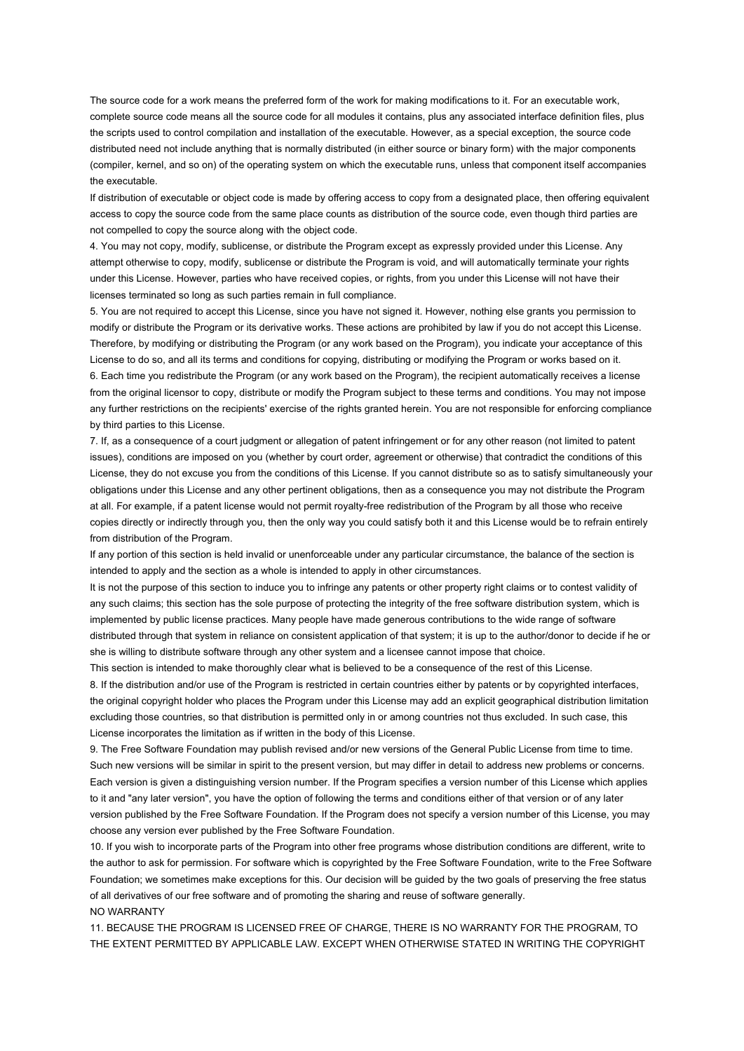The source code for a work means the preferred form of the work for making modifications to it. For an executable work, complete source code means all the source code for all modules it contains, plus any associated interface definition files, plus the scripts used to control compilation and installation of the executable. However, as a special exception, the source code distributed need not include anything that is normally distributed (in either source or binary form) with the major components (compiler, kernel, and so on) of the operating system on which the executable runs, unless that component itself accompanies the executable.

If distribution of executable or object code is made by offering access to copy from a designated place, then offering equivalent access to copy the source code from the same place counts as distribution of the source code, even though third parties are not compelled to copy the source along with the object code.

4. You may not copy, modify, sublicense, or distribute the Program except as expressly provided under this License. Any attempt otherwise to copy, modify, sublicense or distribute the Program is void, and will automatically terminate your rights under this License. However, parties who have received copies, or rights, from you under this License will not have their licenses terminated so long as such parties remain in full compliance.

5. You are not required to accept this License, since you have not signed it. However, nothing else grants you permission to modify or distribute the Program or its derivative works. These actions are prohibited by law if you do not accept this License. Therefore, by modifying or distributing the Program (or any work based on the Program), you indicate your acceptance of this License to do so, and all its terms and conditions for copying, distributing or modifying the Program or works based on it.

6. Each time you redistribute the Program (or any work based on the Program), the recipient automatically receives a license from the original licensor to copy, distribute or modify the Program subject to these terms and conditions. You may not impose any further restrictions on the recipients' exercise of the rights granted herein. You are not responsible for enforcing compliance by third parties to this License.

7. If, as a consequence of a court judgment or allegation of patent infringement or for any other reason (not limited to patent issues), conditions are imposed on you (whether by court order, agreement or otherwise) that contradict the conditions of this License, they do not excuse you from the conditions of this License. If you cannot distribute so as to satisfy simultaneously your obligations under this License and any other pertinent obligations, then as a consequence you may not distribute the Program at all. For example, if a patent license would not permit royalty-free redistribution of the Program by all those who receive copies directly or indirectly through you, then the only way you could satisfy both it and this License would be to refrain entirely from distribution of the Program.

If any portion of this section is held invalid or unenforceable under any particular circumstance, the balance of the section is intended to apply and the section as a whole is intended to apply in other circumstances.

It is not the purpose of this section to induce you to infringe any patents or other property right claims or to contest validity of any such claims; this section has the sole purpose of protecting the integrity of the free software distribution system, which is implemented by public license practices. Many people have made generous contributions to the wide range of software distributed through that system in reliance on consistent application of that system; it is up to the author/donor to decide if he or she is willing to distribute software through any other system and a licensee cannot impose that choice.

This section is intended to make thoroughly clear what is believed to be a consequence of the rest of this License. 8. If the distribution and/or use of the Program is restricted in certain countries either by patents or by copyrighted interfaces, the original copyright holder who places the Program under this License may add an explicit geographical distribution limitation excluding those countries, so that distribution is permitted only in or among countries not thus excluded. In such case, this License incorporates the limitation as if written in the body of this License.

9. The Free Software Foundation may publish revised and/or new versions of the General Public License from time to time. Such new versions will be similar in spirit to the present version, but may differ in detail to address new problems or concerns. Each version is given a distinguishing version number. If the Program specifies a version number of this License which applies to it and "any later version", you have the option of following the terms and conditions either of that version or of any later version published by the Free Software Foundation. If the Program does not specify a version number of this License, you may choose any version ever published by the Free Software Foundation.

10. If you wish to incorporate parts of the Program into other free programs whose distribution conditions are different, write to the author to ask for permission. For software which is copyrighted by the Free Software Foundation, write to the Free Software Foundation; we sometimes make exceptions for this. Our decision will be guided by the two goals of preserving the free status of all derivatives of our free software and of promoting the sharing and reuse of software generally. NO WARRANTY

11. BECAUSE THE PROGRAM IS LICENSED FREE OF CHARGE, THERE IS NO WARRANTY FOR THE PROGRAM, TO THE EXTENT PERMITTED BY APPLICABLE LAW. EXCEPT WHEN OTHERWISE STATED IN WRITING THE COPYRIGHT